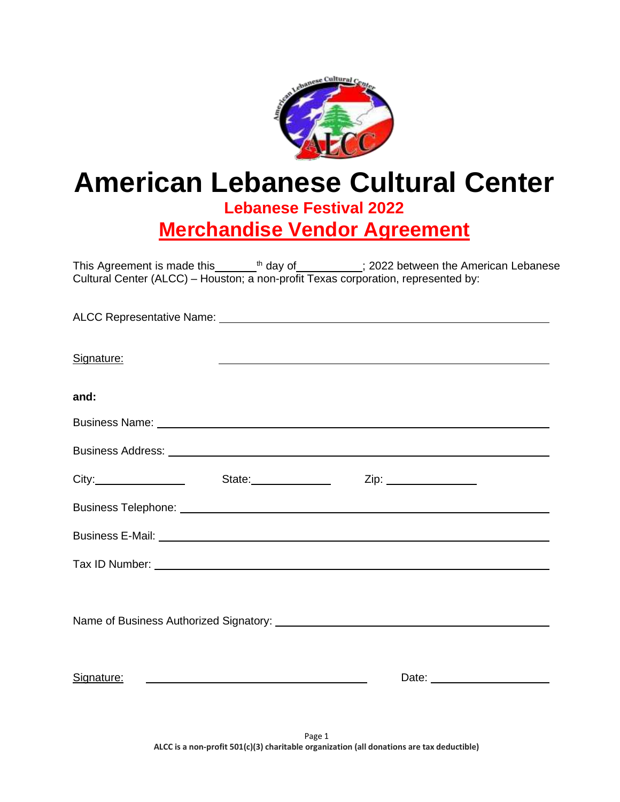

# **American Lebanese Cultural Center Lebanese Festival 2022**

**Merchandise Vendor Agreement**

This Agreement is made this  $\frac{t}{t}$  day of  $\frac{1}{t}$  2022 between the American Lebanese Cultural Center (ALCC) – Houston; a non-profit Texas corporation, represented by:

| Signature:                                                                                                                                                                                                                           | <u> 1989 - Johann Stoff, deutscher Stoff, der Stoff, der Stoff, der Stoff, der Stoff, der Stoff, der Stoff, der S</u> |  |
|--------------------------------------------------------------------------------------------------------------------------------------------------------------------------------------------------------------------------------------|-----------------------------------------------------------------------------------------------------------------------|--|
| and:                                                                                                                                                                                                                                 |                                                                                                                       |  |
|                                                                                                                                                                                                                                      |                                                                                                                       |  |
|                                                                                                                                                                                                                                      |                                                                                                                       |  |
|                                                                                                                                                                                                                                      |                                                                                                                       |  |
| Business Telephone: <u>example and the set of the set of the set of the set of the set of the set of the set of the set of the set of the set of the set of the set of the set of the set of the set of the set of the set of th</u> |                                                                                                                       |  |
| Business E-Mail: <u>Department of the Contractor Contractor</u>                                                                                                                                                                      |                                                                                                                       |  |
| Tax ID Number: <b>All Accords</b> 2012 12:00 and 2012 12:00 and 2012 12:00 and 2012 12:00 and 2012 12:00 and 2012 12:00 and 2012 12:00 and 2012 12:00 and 2012 12:00 and 2012 12:00 and 2012 12:00 and 2012 12:00 and 2012 12:00 an  |                                                                                                                       |  |
|                                                                                                                                                                                                                                      |                                                                                                                       |  |
|                                                                                                                                                                                                                                      |                                                                                                                       |  |
| Signature:                                                                                                                                                                                                                           | <u> 1980 - Johann Stoff, fransk politiker (d. 1980)</u>                                                               |  |
|                                                                                                                                                                                                                                      |                                                                                                                       |  |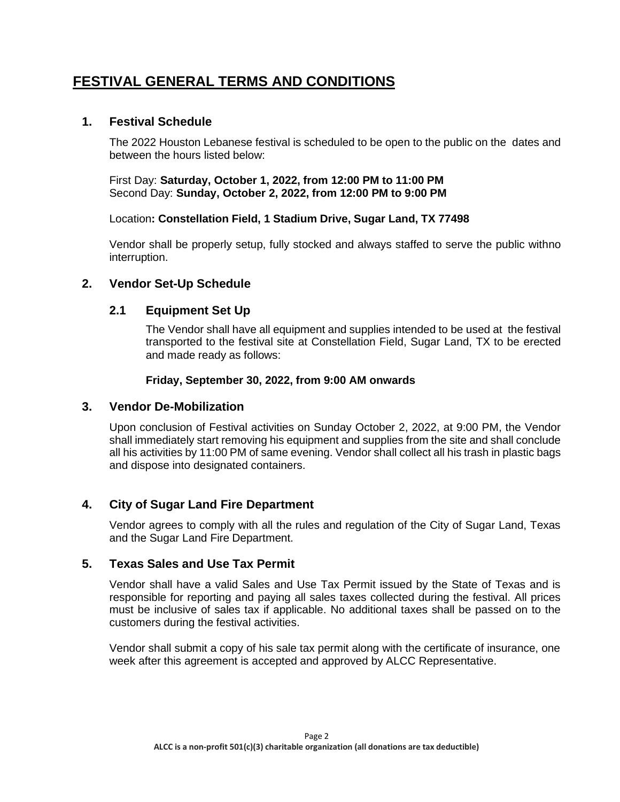# **FESTIVAL GENERAL TERMS AND CONDITIONS**

# **1. Festival Schedule**

The 2022 Houston Lebanese festival is scheduled to be open to the public on the dates and between the hours listed below:

First Day: **Saturday, October 1, 2022, from 12:00 PM to 11:00 PM** Second Day: **Sunday, October 2, 2022, from 12:00 PM to 9:00 PM**

#### Location**: Constellation Field, 1 Stadium Drive, Sugar Land, TX 77498**

Vendor shall be properly setup, fully stocked and always staffed to serve the public withno interruption.

# **2. Vendor Set-Up Schedule**

# **2.1 Equipment Set Up**

The Vendor shall have all equipment and supplies intended to be used at the festival transported to the festival site at Constellation Field, Sugar Land, TX to be erected and made ready as follows:

#### **Friday, September 30, 2022, from 9:00 AM onwards**

#### **3. Vendor De-Mobilization**

Upon conclusion of Festival activities on Sunday October 2, 2022, at 9:00 PM, the Vendor shall immediately start removing his equipment and supplies from the site and shall conclude all his activities by 11:00 PM of same evening. Vendor shall collect all his trash in plastic bags and dispose into designated containers.

# **4. City of Sugar Land Fire Department**

Vendor agrees to comply with all the rules and regulation of the City of Sugar Land, Texas and the Sugar Land Fire Department.

## **5. Texas Sales and Use Tax Permit**

Vendor shall have a valid Sales and Use Tax Permit issued by the State of Texas and is responsible for reporting and paying all sales taxes collected during the festival. All prices must be inclusive of sales tax if applicable. No additional taxes shall be passed on to the customers during the festival activities.

Vendor shall submit a copy of his sale tax permit along with the certificate of insurance, one week after this agreement is accepted and approved by ALCC Representative.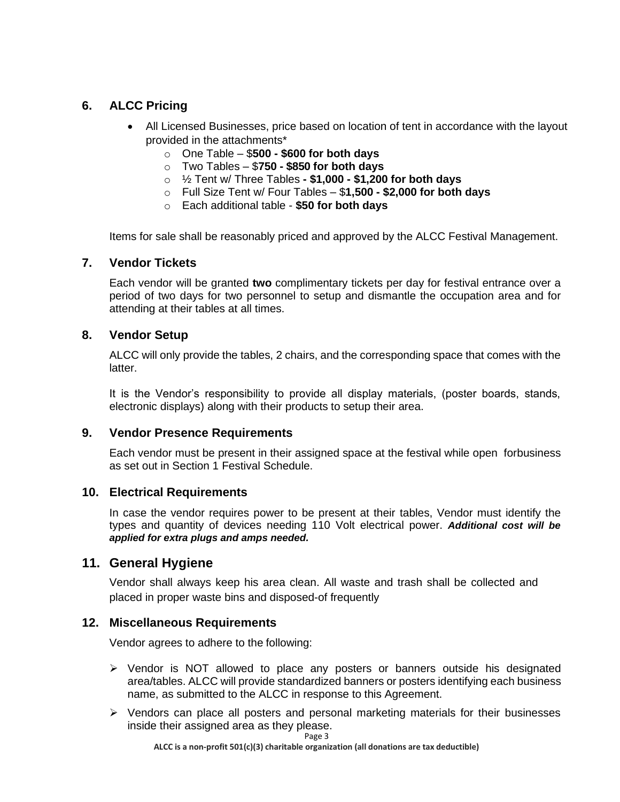# **6. ALCC Pricing**

- All Licensed Businesses, price based on location of tent in accordance with the layout provided in the attachments\*
	- o One Table \$**500 - \$600 for both days**
	- o Two Tables \$**750 - \$850 for both days**
	- o ½ Tent w/ Three Tables **- \$1,000 - \$1,200 for both days**
	- o Full Size Tent w/ Four Tables \$**1,500 - \$2,000 for both days**
	- o Each additional table **\$50 for both days**

Items for sale shall be reasonably priced and approved by the ALCC Festival Management.

#### **7. Vendor Tickets**

Each vendor will be granted **two** complimentary tickets per day for festival entrance over a period of two days for two personnel to setup and dismantle the occupation area and for attending at their tables at all times.

#### **8. Vendor Setup**

ALCC will only provide the tables, 2 chairs, and the corresponding space that comes with the latter.

It is the Vendor's responsibility to provide all display materials, (poster boards, stands, electronic displays) along with their products to setup their area.

#### **9. Vendor Presence Requirements**

Each vendor must be present in their assigned space at the festival while open forbusiness as set out in Section 1 Festival Schedule.

#### **10. Electrical Requirements**

In case the vendor requires power to be present at their tables, Vendor must identify the types and quantity of devices needing 110 Volt electrical power. *Additional cost will be applied for extra plugs and amps needed.*

# **11. General Hygiene**

Vendor shall always keep his area clean. All waste and trash shall be collected and placed in proper waste bins and disposed-of frequently

#### **12. Miscellaneous Requirements**

Vendor agrees to adhere to the following:

- ➢ Vendor is NOT allowed to place any posters or banners outside his designated area/tables. ALCC will provide standardized banners or posters identifying each business name, as submitted to the ALCC in response to this Agreement.
- ➢ Vendors can place all posters and personal marketing materials for their businesses inside their assigned area as they please.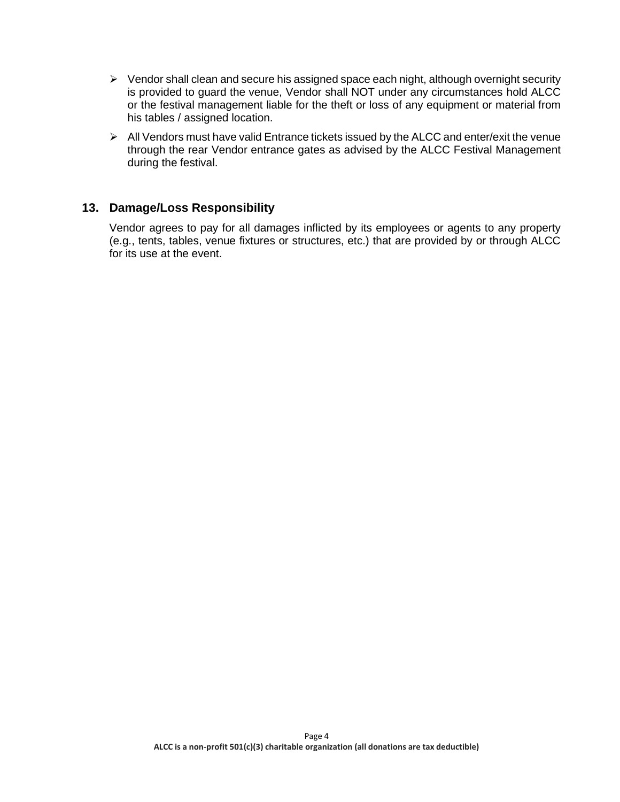- $\triangleright$  Vendor shall clean and secure his assigned space each night, although overnight security is provided to guard the venue, Vendor shall NOT under any circumstances hold ALCC or the festival management liable for the theft or loss of any equipment or material from his tables / assigned location.
- ➢ All Vendors must have valid Entrance tickets issued by the ALCC and enter/exit the venue through the rear Vendor entrance gates as advised by the ALCC Festival Management during the festival.

### **13. Damage/Loss Responsibility**

Vendor agrees to pay for all damages inflicted by its employees or agents to any property (e.g., tents, tables, venue fixtures or structures, etc.) that are provided by or through ALCC for its use at the event.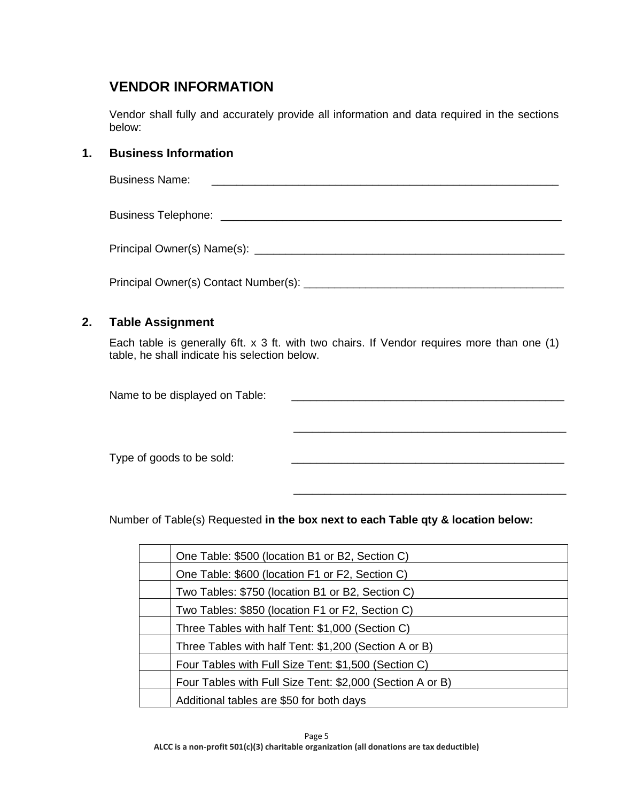# **VENDOR INFORMATION**

Vendor shall fully and accurately provide all information and data required in the sections below:

# **1. Business Information**

| <b>Business Name:</b> |  |
|-----------------------|--|
|                       |  |
|                       |  |
|                       |  |

# **2. Table Assignment**

Each table is generally 6ft. x 3 ft. with two chairs. If Vendor requires more than one (1) table, he shall indicate his selection below.

\_\_\_\_\_\_\_\_\_\_\_\_\_\_\_\_\_\_\_\_\_\_\_\_\_\_\_\_\_\_\_\_\_\_\_\_\_\_\_\_\_\_\_\_

\_\_\_\_\_\_\_\_\_\_\_\_\_\_\_\_\_\_\_\_\_\_\_\_\_\_\_\_\_\_\_\_\_\_\_\_\_\_\_\_\_\_\_\_

Name to be displayed on Table:

Type of goods to be sold:

Number of Table(s) Requested **in the box next to each Table qty & location below:**

| One Table: \$500 (location B1 or B2, Section C)           |
|-----------------------------------------------------------|
| One Table: \$600 (location F1 or F2, Section C)           |
| Two Tables: \$750 (location B1 or B2, Section C)          |
| Two Tables: \$850 (location F1 or F2, Section C)          |
| Three Tables with half Tent: \$1,000 (Section C)          |
| Three Tables with half Tent: \$1,200 (Section A or B)     |
| Four Tables with Full Size Tent: \$1,500 (Section C)      |
| Four Tables with Full Size Tent: \$2,000 (Section A or B) |
| Additional tables are \$50 for both days                  |